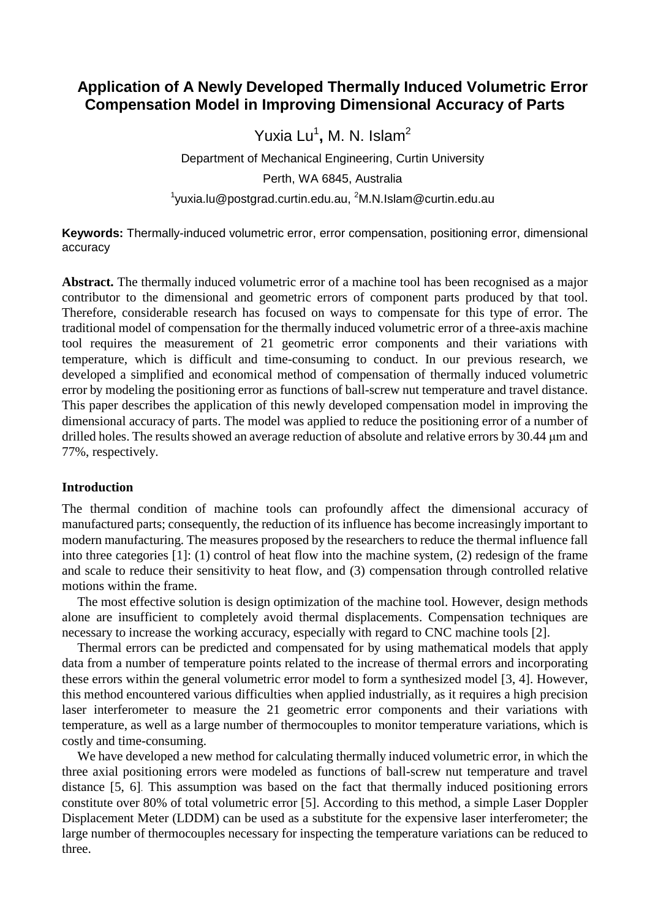# **Application of A Newly Developed Thermally Induced Volumetric Error Compensation Model in Improving Dimensional Accuracy of Parts**

Yuxia Lu<sup>1</sup>, M. N. Islam<sup>2</sup>

Department of Mechanical Engineering, Curtin University

Perth, WA 6845, Australia

 $^1$ yuxia.lu@postgrad.curtin.edu.au,  $^2$ M.N.Islam@curtin.edu.au

**Keywords:** Thermally-induced volumetric error, error compensation, positioning error, dimensional accuracy

**Abstract.** The thermally induced volumetric error of a machine tool has been recognised as a major contributor to the dimensional and geometric errors of component parts produced by that tool. Therefore, considerable research has focused on ways to compensate for this type of error. The traditional model of compensation for the thermally induced volumetric error of a three-axis machine tool requires the measurement of 21 geometric error components and their variations with temperature, which is difficult and time-consuming to conduct. In our previous research, we developed a simplified and economical method of compensation of thermally induced volumetric error by modeling the positioning error as functions of ball-screw nut temperature and travel distance. This paper describes the application of this newly developed compensation model in improving the dimensional accuracy of parts. The model was applied to reduce the positioning error of a number of drilled holes. The results showed an average reduction of absolute and relative errors by 30.44 μm and 77%, respectively.

### **Introduction**

The thermal condition of machine tools can profoundly affect the dimensional accuracy of manufactured parts; consequently, the reduction of its influence has become increasingly important to modern manufacturing. The measures proposed by the researchers to reduce the thermal influence fall into three categories [1]: (1) control of heat flow into the machine system, (2) redesign of the frame and scale to reduce their sensitivity to heat flow, and (3) compensation through controlled relative motions within the frame.

The most effective solution is design optimization of the machine tool. However, design methods alone are insufficient to completely avoid thermal displacements. Compensation techniques are necessary to increase the working accuracy, especially with regard to CNC machine tools [2].

Thermal errors can be predicted and compensated for by using mathematical models that apply data from a number of temperature points related to the increase of thermal errors and incorporating these errors within the general volumetric error model to form a synthesized model [3, 4]. However, this method encountered various difficulties when applied industrially, as it requires a high precision laser interferometer to measure the 21 geometric error components and their variations with temperature, as well as a large number of thermocouples to monitor temperature variations, which is costly and time-consuming.

We have developed a new method for calculating thermally induced volumetric error, in which the three axial positioning errors were modeled as functions of ball-screw nut temperature and travel distance [5, 6]. This assumption was based on the fact that thermally induced positioning errors constitute over 80% of total volumetric error [5]. According to this method, a simple Laser Doppler Displacement Meter (LDDM) can be used as a substitute for the expensive laser interferometer; the large number of thermocouples necessary for inspecting the temperature variations can be reduced to three.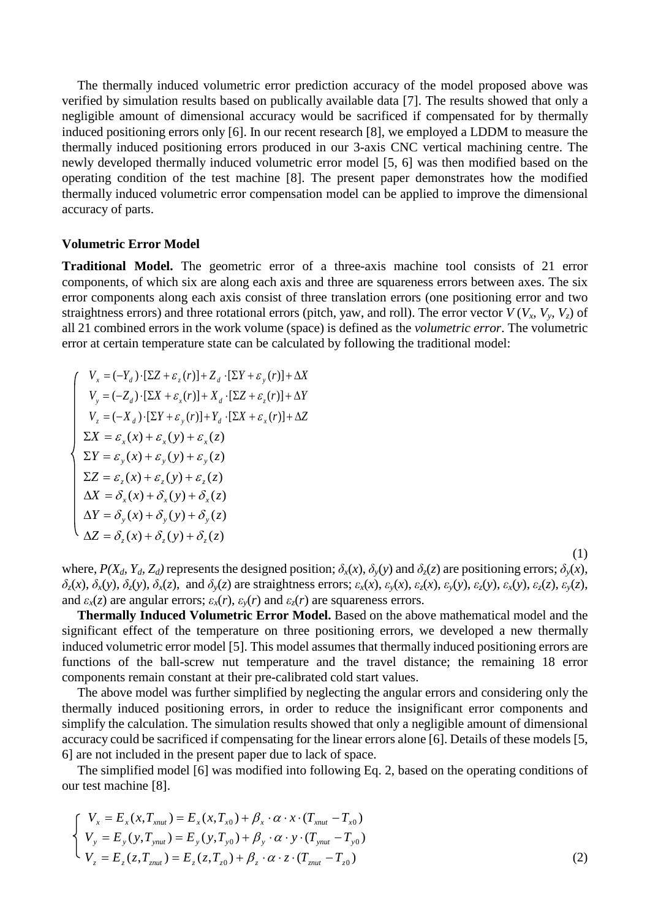The thermally induced volumetric error prediction accuracy of the model proposed above was verified by simulation results based on publically available data [7]. The results showed that only a negligible amount of dimensional accuracy would be sacrificed if compensated for by thermally induced positioning errors only [6]. In our recent research [8], we employed a LDDM to measure the thermally induced positioning errors produced in our 3-axis CNC vertical machining centre. The newly developed thermally induced volumetric error model [5, 6] was then modified based on the operating condition of the test machine [8]. The present paper demonstrates how the modified thermally induced volumetric error compensation model can be applied to improve the dimensional accuracy of parts.

#### **Volumetric Error Model**

**Traditional Model.** The geometric error of a three-axis machine tool consists of 21 error components, of which six are along each axis and three are squareness errors between axes. The six error components along each axis consist of three translation errors (one positioning error and two straightness errors) and three rotational errors (pitch, yaw, and roll). The error vector  $V(V_x, V_y, V_z)$  of all 21 combined errors in the work volume (space) is defined as the *volumetric error*. The volumetric error at certain temperature state can be calculated by following the traditional model:

$$
\begin{cases}\nV_x = (-Y_d) \cdot [\Sigma Z + \varepsilon_z(r)] + Z_d \cdot [\Sigma Y + \varepsilon_y(r)] + \Delta X \\
V_y = (-Z_d) \cdot [\Sigma X + \varepsilon_x(r)] + X_d \cdot [\Sigma Z + \varepsilon_z(r)] + \Delta Y \\
V_z = (-X_d) \cdot [\Sigma Y + \varepsilon_y(r)] + Y_d \cdot [\Sigma X + \varepsilon_x(r)] + \Delta Z \\
\Sigma X = \varepsilon_x(x) + \varepsilon_x(y) + \varepsilon_x(z) \\
\Sigma Y = \varepsilon_y(x) + \varepsilon_y(y) + \varepsilon_y(z) \\
\Sigma Z = \varepsilon_z(x) + \varepsilon_z(y) + \varepsilon_z(z) \\
\Delta X = \delta_x(x) + \delta_x(y) + \delta_x(z) \\
\Delta Y = \delta_y(x) + \delta_y(y) + \delta_y(z) \\
\Delta Z = \delta_z(x) + \delta_z(y) + \delta_z(z)\n\end{cases}
$$

(1) where,  $P(X_d, Y_d, Z_d)$  represents the designed position;  $\delta_x(x)$ ,  $\delta_y(y)$  and  $\delta_z(z)$  are positioning errors;  $\delta_y(x)$ ,  $\delta_z(x)$ ,  $\delta_x(y)$ ,  $\delta_z(y)$ ,  $\delta_x(z)$ , and  $\delta_y(z)$  are straightness errors;  $\varepsilon_x(x)$ ,  $\varepsilon_y(x)$ ,  $\varepsilon_z(x)$ ,  $\varepsilon_y(y)$ ,  $\varepsilon_z(y)$ ,  $\varepsilon_x(y)$ ,  $\varepsilon_z(z)$ ,  $\varepsilon_y(z)$ , and  $\varepsilon_x(z)$  are angular errors;  $\varepsilon_x(r)$ ,  $\varepsilon_y(r)$  and  $\varepsilon_z(r)$  are squareness errors.

**Thermally Induced Volumetric Error Model.** Based on the above mathematical model and the significant effect of the temperature on three positioning errors, we developed a new thermally induced volumetric error model [5]. This model assumes that thermally induced positioning errors are functions of the ball-screw nut temperature and the travel distance; the remaining 18 error components remain constant at their pre-calibrated cold start values.

The above model was further simplified by neglecting the angular errors and considering only the thermally induced positioning errors, in order to reduce the insignificant error components and simplify the calculation. The simulation results showed that only a negligible amount of dimensional accuracy could be sacrificed if compensating for the linear errors alone [6]. Details of these models [5, 6] are not included in the present paper due to lack of space.

The simplified model [6] was modified into following Eq. 2, based on the operating conditions of our test machine [8].

$$
\begin{cases}\nV_x = E_x(x, T_{xnu}) = E_x(x, T_{x0}) + \beta_x \cdot \alpha \cdot x \cdot (T_{xnu} - T_{x0}) \\
V_y = E_y(y, T_{ynu}) = E_y(y, T_{y0}) + \beta_y \cdot \alpha \cdot y \cdot (T_{ynu} - T_{y0}) \\
V_z = E_z(z, T_{znu}) = E_z(z, T_{z0}) + \beta_z \cdot \alpha \cdot z \cdot (T_{znu} - T_{z0})\n\end{cases}
$$
\n(2)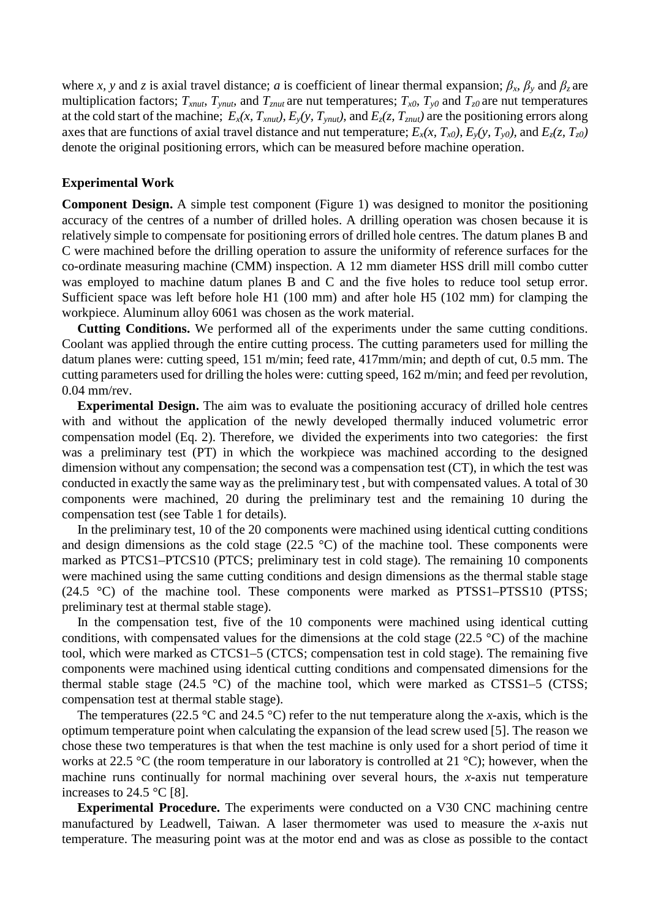where *x*, *y* and *z* is axial travel distance; *a* is coefficient of linear thermal expansion;  $\beta_x$ ,  $\beta_y$  and  $\beta_z$  are multiplication factors;  $T_{xnut}$ ,  $T_{ynut}$ , and  $T_{znut}$  are nut temperatures;  $T_{x0}$ ,  $T_{y0}$  and  $T_{z0}$  are nut temperatures at the cold start of the machine;  $E_x(x, T_{xnut})$ ,  $E_y(y, T_{ynut})$ , and  $E_z(z, T_{znut})$  are the positioning errors along axes that are functions of axial travel distance and nut temperature;  $E_x(x, T_{x0})$ ,  $E_y(y, T_{y0})$ , and  $E_z(z, T_{z0})$ denote the original positioning errors, which can be measured before machine operation.

#### **Experimental Work**

**Component Design.** A simple test component (Figure 1) was designed to monitor the positioning accuracy of the centres of a number of drilled holes. A drilling operation was chosen because it is relatively simple to compensate for positioning errors of drilled hole centres. The datum planes B and C were machined before the drilling operation to assure the uniformity of reference surfaces for the co-ordinate measuring machine (CMM) inspection. A 12 mm diameter HSS drill mill combo cutter was employed to machine datum planes B and C and the five holes to reduce tool setup error. Sufficient space was left before hole H1 (100 mm) and after hole H5 (102 mm) for clamping the workpiece. Aluminum alloy 6061 was chosen as the work material.

**Cutting Conditions.** We performed all of the experiments under the same cutting conditions. Coolant was applied through the entire cutting process. The cutting parameters used for milling the datum planes were: cutting speed, 151 m/min; feed rate, 417mm/min; and depth of cut, 0.5 mm. The cutting parameters used for drilling the holes were: cutting speed, 162 m/min; and feed per revolution, 0.04 mm/rev.

**Experimental Design.** The aim was to evaluate the positioning accuracy of drilled hole centres with and without the application of the newly developed thermally induced volumetric error compensation model (Eq. 2). Therefore, we divided the experiments into two categories: the first was a preliminary test (PT) in which the workpiece was machined according to the designed dimension without any compensation; the second was a compensation test (CT), in which the test was conducted in exactly the same way as the preliminary test , but with compensated values. A total of 30 components were machined, 20 during the preliminary test and the remaining 10 during the compensation test (see Table 1 for details).

In the preliminary test, 10 of the 20 components were machined using identical cutting conditions and design dimensions as the cold stage  $(22.5 \text{ °C})$  of the machine tool. These components were marked as PTCS1–PTCS10 (PTCS; preliminary test in cold stage). The remaining 10 components were machined using the same cutting conditions and design dimensions as the thermal stable stage (24.5  $\degree$ C) of the machine tool. These components were marked as PTSS1–PTSS10 (PTSS; preliminary test at thermal stable stage).

In the compensation test, five of the 10 components were machined using identical cutting conditions, with compensated values for the dimensions at the cold stage (22.5 °C) of the machine tool, which were marked as CTCS1–5 (CTCS; compensation test in cold stage). The remaining five components were machined using identical cutting conditions and compensated dimensions for the thermal stable stage  $(24.5 \text{ °C})$  of the machine tool, which were marked as CTSS1–5 (CTSS; compensation test at thermal stable stage).

The temperatures (22.5  $\degree$ C and 24.5  $\degree$ C) refer to the nut temperature along the *x*-axis, which is the optimum temperature point when calculating the expansion of the lead screw used [5]. The reason we chose these two temperatures is that when the test machine is only used for a short period of time it works at 22.5 °C (the room temperature in our laboratory is controlled at 21 °C); however, when the machine runs continually for normal machining over several hours, the *x*-axis nut temperature increases to 24.5  $\degree$ C [8].

**Experimental Procedure.** The experiments were conducted on a V30 CNC machining centre manufactured by Leadwell, Taiwan. A laser thermometer was used to measure the *x*-axis nut temperature. The measuring point was at the motor end and was as close as possible to the contact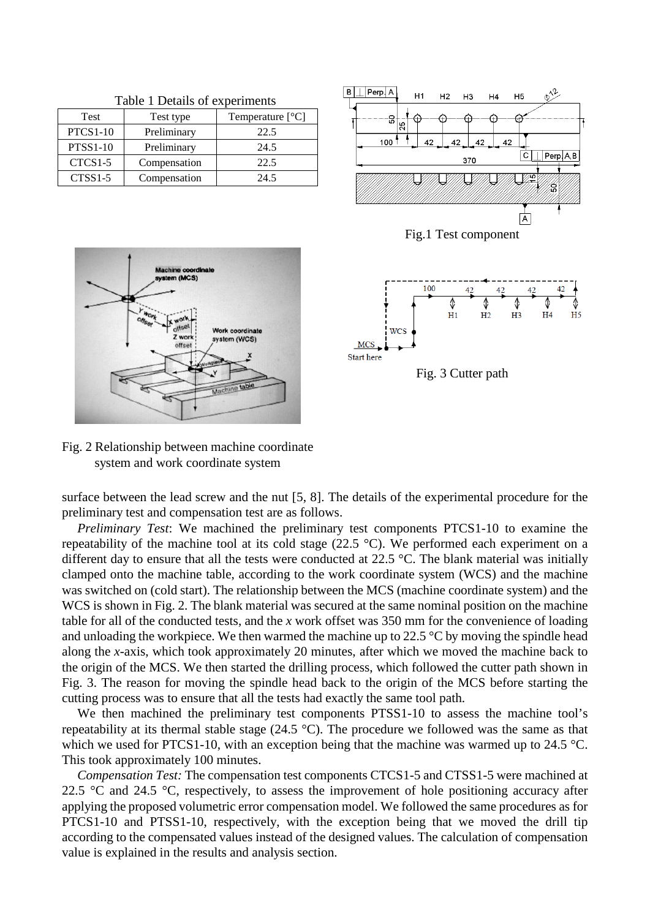| raone i Deams of experiments |              |                    |  |  |  |
|------------------------------|--------------|--------------------|--|--|--|
| Test                         | Test type    | Temperature $[°C]$ |  |  |  |
| <b>PTCS1-10</b>              | Preliminary  | 22.5               |  |  |  |
| <b>PTSS1-10</b>              | Preliminary  | 24.5               |  |  |  |
| CTCS1-5                      | Compensation | 22.5               |  |  |  |
| $CTSS1-5$                    | Compensation | 24.5               |  |  |  |

Table 1 Details of experiments











Fig. 2 Relationship between machine coordinate system and work coordinate system

surface between the lead screw and the nut [5, 8]. The details of the experimental procedure for the preliminary test and compensation test are as follows.

*Preliminary Test*: We machined the preliminary test components PTCS1-10 to examine the repeatability of the machine tool at its cold stage (22.5 °C). We performed each experiment on a different day to ensure that all the tests were conducted at 22.5 °C. The blank material was initially clamped onto the machine table, according to the work coordinate system (WCS) and the machine was switched on (cold start). The relationship between the MCS (machine coordinate system) and the WCS is shown in Fig. 2. The blank material was secured at the same nominal position on the machine table for all of the conducted tests, and the *x* work offset was 350 mm for the convenience of loading and unloading the workpiece. We then warmed the machine up to  $22.5 \text{ °C}$  by moving the spindle head along the *x*-axis, which took approximately 20 minutes, after which we moved the machine back to the origin of the MCS. We then started the drilling process, which followed the cutter path shown in Fig. 3. The reason for moving the spindle head back to the origin of the MCS before starting the cutting process was to ensure that all the tests had exactly the same tool path.

We then machined the preliminary test components PTSS1-10 to assess the machine tool's repeatability at its thermal stable stage (24.5 °C). The procedure we followed was the same as that which we used for PTCS1-10, with an exception being that the machine was warmed up to  $24.5 \degree C$ . This took approximately 100 minutes.

*Compensation Test:* The compensation test components CTCS1-5 and CTSS1-5 were machined at 22.5  $\degree$ C and 24.5  $\degree$ C, respectively, to assess the improvement of hole positioning accuracy after applying the proposed volumetric error compensation model. We followed the same procedures as for PTCS1-10 and PTSS1-10, respectively, with the exception being that we moved the drill tip according to the compensated values instead of the designed values. The calculation of compensation value is explained in the results and analysis section.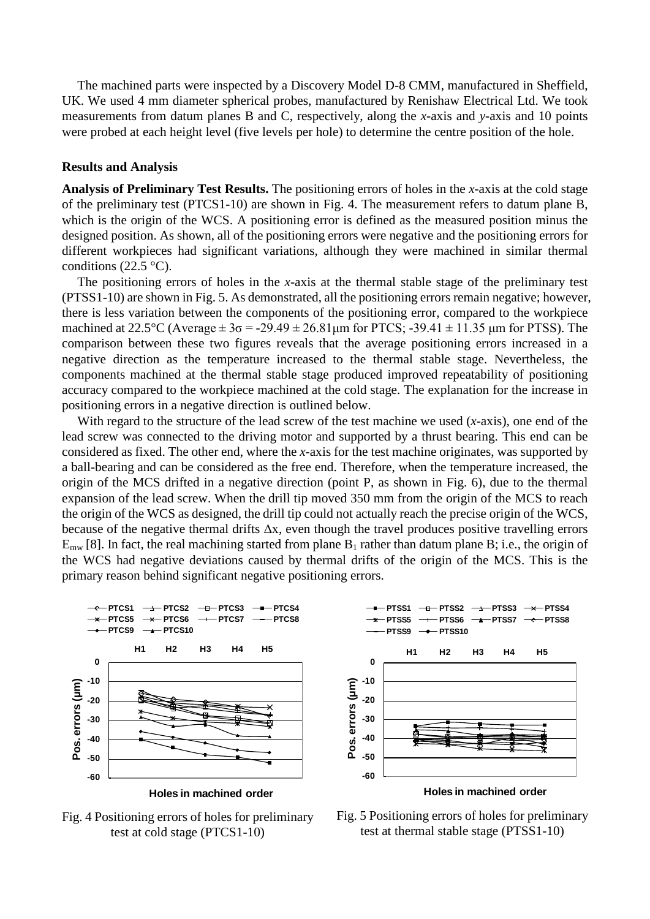The machined parts were inspected by a Discovery Model D-8 CMM, manufactured in Sheffield, UK. We used 4 mm diameter spherical probes, manufactured by Renishaw Electrical Ltd. We took measurements from datum planes B and C, respectively, along the *x*-axis and *y*-axis and 10 points were probed at each height level (five levels per hole) to determine the centre position of the hole.

#### **Results and Analysis**

**Analysis of Preliminary Test Results.** The positioning errors of holes in the *x*-axis at the cold stage of the preliminary test (PTCS1-10) are shown in Fig. 4. The measurement refers to datum plane B, which is the origin of the WCS. A positioning error is defined as the measured position minus the designed position. As shown, all of the positioning errors were negative and the positioning errors for different workpieces had significant variations, although they were machined in similar thermal conditions (22.5  $\,^{\circ}$ C).

The positioning errors of holes in the *x*-axis at the thermal stable stage of the preliminary test (PTSS1-10) are shown in Fig. 5. As demonstrated, all the positioning errors remain negative; however, there is less variation between the components of the positioning error, compared to the workpiece machined at 22.5°C (Average  $\pm 3\sigma = -29.49 \pm 26.81 \mu m$  for PTCS;  $-39.41 \pm 11.35 \mu m$  for PTSS). The comparison between these two figures reveals that the average positioning errors increased in a negative direction as the temperature increased to the thermal stable stage. Nevertheless, the components machined at the thermal stable stage produced improved repeatability of positioning accuracy compared to the workpiece machined at the cold stage. The explanation for the increase in positioning errors in a negative direction is outlined below.

With regard to the structure of the lead screw of the test machine we used (*x*-axis), one end of the lead screw was connected to the driving motor and supported by a thrust bearing. This end can be considered as fixed. The other end, where the *x*-axis for the test machine originates, was supported by a ball-bearing and can be considered as the free end. Therefore, when the temperature increased, the origin of the MCS drifted in a negative direction (point P, as shown in Fig. 6), due to the thermal expansion of the lead screw. When the drill tip moved 350 mm from the origin of the MCS to reach the origin of the WCS as designed, the drill tip could not actually reach the precise origin of the WCS, because of the negative thermal drifts  $\Delta x$ , even though the travel produces positive travelling errors  $E_{mw}$  [8]. In fact, the real machining started from plane  $B_1$  rather than datum plane B; i.e., the origin of the WCS had negative deviations caused by thermal drifts of the origin of the MCS. This is the primary reason behind significant negative positioning errors.



Fig. 4 Positioning errors of holes for preliminary test at cold stage (PTCS1-10)



Fig. 5 Positioning errors of holes for preliminary test at thermal stable stage (PTSS1-10)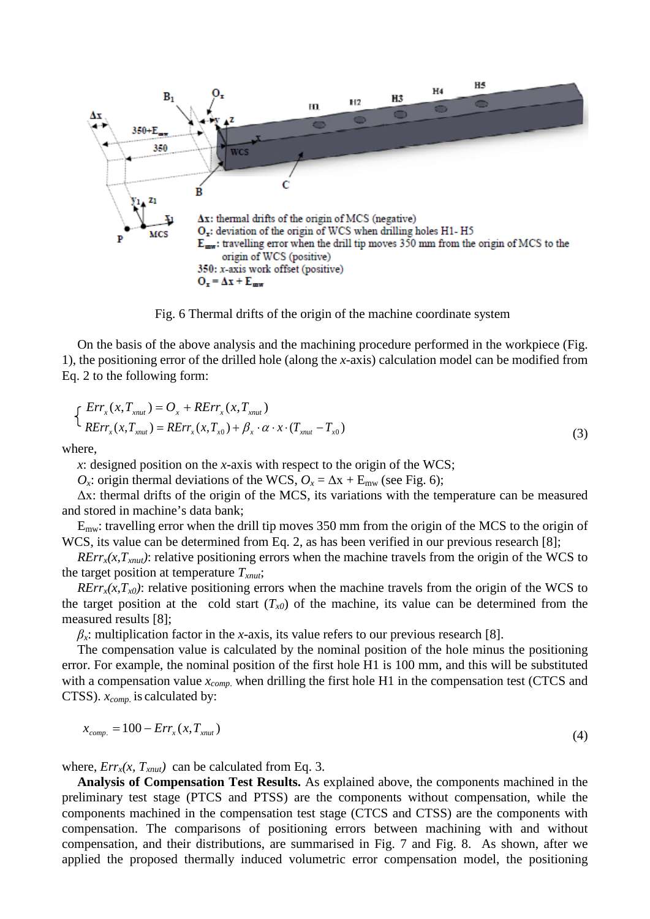

Fig. 6 Thermal drifts of the origin of the machine coordinate system

On the basis of the above analysis and the machining procedure performed in the workpiece (Fig. 1), the positioning error of the drilled hole (along the *x*-axis) calculation model can be modified from Eq. 2 to the following form:

$$
\begin{cases}\nErr_x(x, T_{xnut}) = O_x + RErr_x(x, T_{xnut}) \\
RErr_x(x, T_{xnut}) = RErr_x(x, T_{x0}) + \beta_x \cdot \alpha \cdot x \cdot (T_{xnut} - T_{x0})\n\end{cases}
$$
\n(3)

where,

*x*: designed position on the *x-*axis with respect to the origin of the WCS;

*O<sub>x</sub>*: origin thermal deviations of the WCS,  $O_x = \Delta x + E_{mw}$  (see Fig. 6);

Δx: thermal drifts of the origin of the MCS, its variations with the temperature can be measured and stored in machine's data bank;

 $E_{\text{mw}}$ : travelling error when the drill tip moves 350 mm from the origin of the MCS to the origin of WCS, its value can be determined from Eq. 2, as has been verified in our previous research [8];

 $RErr<sub>x</sub>(x, T<sub>xnut</sub>)$ : relative positioning errors when the machine travels from the origin of the WCS to the target position at temperature *Txnut*;

 $RErr<sub>x</sub>(x,T<sub>x0</sub>)$ : relative positioning errors when the machine travels from the origin of the WCS to the target position at the cold start  $(T_{x0})$  of the machine, its value can be determined from the measured results [8];

 $\beta$ <sub>*x*</sub>: multiplication factor in the *x*-axis, its value refers to our previous research [8].

The compensation value is calculated by the nominal position of the hole minus the positioning error. For example, the nominal position of the first hole H1 is 100 mm, and this will be substituted with a compensation value  $x_{comp.}$  when drilling the first hole H1 in the compensation test (CTCS and CTSS). *xcomp.* is calculated by:

$$
x_{comp.} = 100 - Err_x(x, T_{xnut})
$$
\n
$$
\tag{4}
$$

where,  $Err_x(x, T_{xnut})$  can be calculated from Eq. 3.

**Analysis of Compensation Test Results.** As explained above, the components machined in the preliminary test stage (PTCS and PTSS) are the components without compensation, while the components machined in the compensation test stage (CTCS and CTSS) are the components with compensation. The comparisons of positioning errors between machining with and without compensation, and their distributions, are summarised in Fig. 7 and Fig. 8. As shown, after we applied the proposed thermally induced volumetric error compensation model, the positioning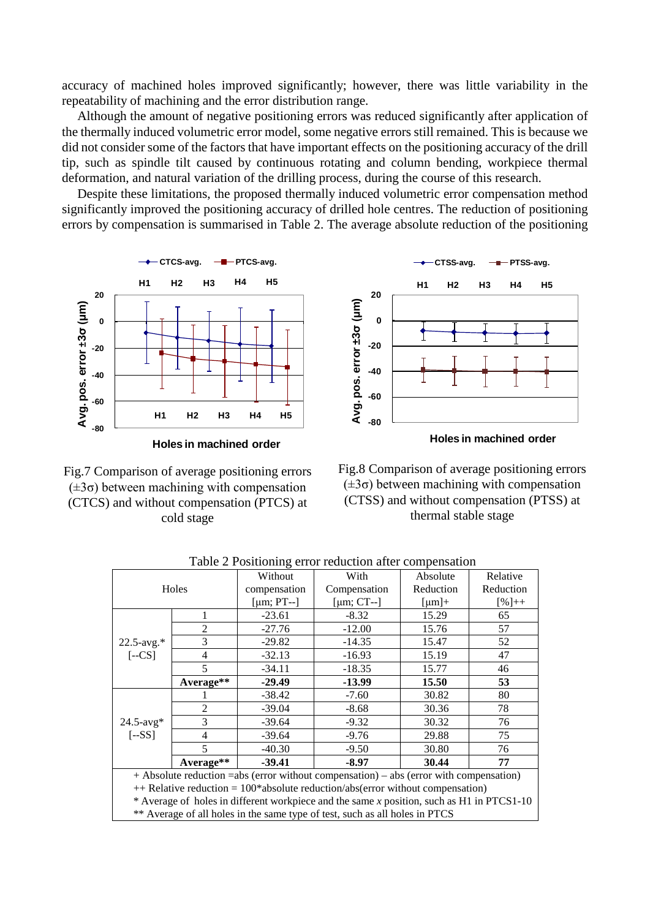accuracy of machined holes improved significantly; however, there was little variability in the repeatability of machining and the error distribution range.

Although the amount of negative positioning errors was reduced significantly after application of the thermally induced volumetric error model, some negative errors still remained. This is because we did not consider some of the factors that have important effects on the positioning accuracy of the drill tip, such as spindle tilt caused by continuous rotating and column bending, workpiece thermal deformation, and natural variation of the drilling process, during the course of this research.

Despite these limitations, the proposed thermally induced volumetric error compensation method significantly improved the positioning accuracy of drilled hole centres. The reduction of positioning errors by compensation is summarised in Table 2. The average absolute reduction of the positioning



**Holes in machined order**

Fig.7 Comparison of average positioning errors (±3σ) between machining with compensation (CTCS) and without compensation (PTCS) at cold stage



Fig.8 Comparison of average positioning errors  $(\pm 3\sigma)$  between machining with compensation (CTSS) and without compensation (PTSS) at thermal stable stage

| tore = 1 conformig crior reduction unter compensation                                     |                |                  |                  |               |           |  |  |
|-------------------------------------------------------------------------------------------|----------------|------------------|------------------|---------------|-----------|--|--|
|                                                                                           |                | Without          | With             | Absolute      | Relative  |  |  |
| Holes                                                                                     |                | compensation     | Compensation     | Reduction     | Reduction |  |  |
|                                                                                           |                | [ $\mu$ m; PT--] | [ $\mu$ m; CT--] | ${\rm [µm]}+$ | $[%]++$   |  |  |
| $22.5$ -avg.*<br>$[-CS]$                                                                  | 1              | $-23.61$         | $-8.32$          | 15.29         | 65        |  |  |
|                                                                                           | $\overline{2}$ | $-27.76$         | $-12.00$         | 15.76         | 57        |  |  |
|                                                                                           | 3              | $-29.82$         | $-14.35$         | 15.47         | 52        |  |  |
|                                                                                           | $\overline{4}$ | $-32.13$         | $-16.93$         | 15.19         | 47        |  |  |
|                                                                                           | 5              | $-34.11$         | $-18.35$         | 15.77         | 46        |  |  |
|                                                                                           | Average**      | $-29.49$         | $-13.99$         | 15.50         | 53        |  |  |
| $24.5$ -avg*<br>$[-SS]$                                                                   |                | $-38.42$         | $-7.60$          | 30.82         | 80        |  |  |
|                                                                                           | $\overline{c}$ | $-39.04$         | $-8.68$          | 30.36         | 78        |  |  |
|                                                                                           | 3              | $-39.64$         | $-9.32$          | 30.32         | 76        |  |  |
|                                                                                           | 4              | $-39.64$         | $-9.76$          | 29.88         | 75        |  |  |
|                                                                                           | 5              | $-40.30$         | $-9.50$          | 30.80         | 76        |  |  |
|                                                                                           | Average**      | $-39.41$         | $-8.97$          | 30.44         | 77        |  |  |
| + Absolute reduction = abs (error without compensation) – abs (error with compensation)   |                |                  |                  |               |           |  |  |
| $++$ Relative reduction = 100*absolute reduction/abs(error without compensation)          |                |                  |                  |               |           |  |  |
| * Average of holes in different workpiece and the same x position, such as H1 in PTCS1-10 |                |                  |                  |               |           |  |  |
| ** Average of all holes in the same type of test, such as all holes in PTCS               |                |                  |                  |               |           |  |  |

Table 2 Positioning error reduction after compensation